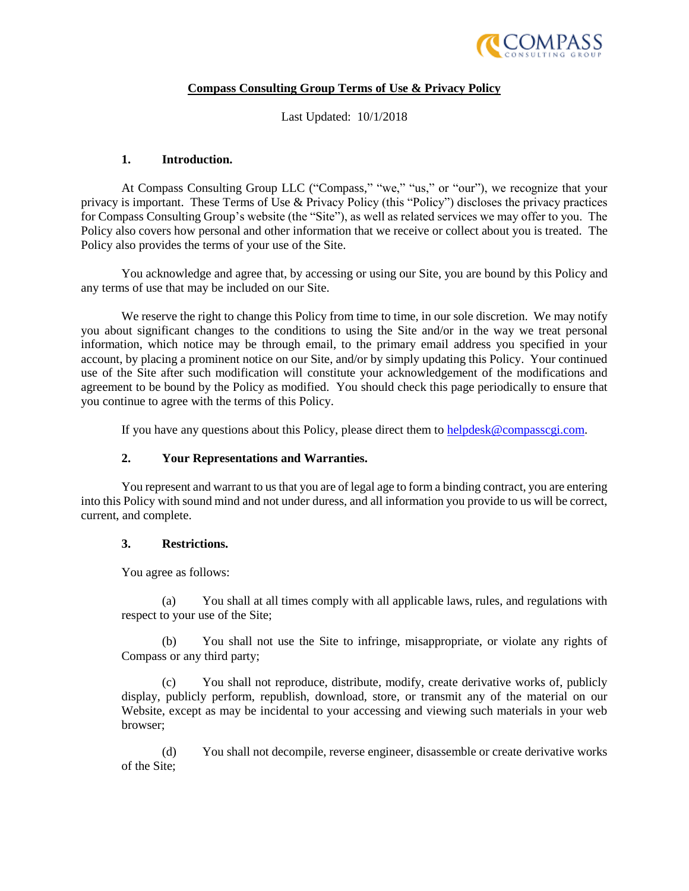

## **Compass Consulting Group Terms of Use & Privacy Policy**

Last Updated: 10/1/2018

#### **1. Introduction.**

At Compass Consulting Group LLC ("Compass," "we," "us," or "our"), we recognize that your privacy is important. These Terms of Use & Privacy Policy (this "Policy") discloses the privacy practices for Compass Consulting Group's website (the "Site"), as well as related services we may offer to you. The Policy also covers how personal and other information that we receive or collect about you is treated. The Policy also provides the terms of your use of the Site.

You acknowledge and agree that, by accessing or using our Site, you are bound by this Policy and any terms of use that may be included on our Site.

We reserve the right to change this Policy from time to time, in our sole discretion. We may notify you about significant changes to the conditions to using the Site and/or in the way we treat personal information, which notice may be through email, to the primary email address you specified in your account, by placing a prominent notice on our Site, and/or by simply updating this Policy. Your continued use of the Site after such modification will constitute your acknowledgement of the modifications and agreement to be bound by the Policy as modified. You should check this page periodically to ensure that you continue to agree with the terms of this Policy.

If you have any questions about this Policy, please direct them to [helpdesk@compasscgi.com.](mailto:helpdesk@compasscgi.com)

## **2. Your Representations and Warranties.**

You represent and warrant to us that you are of legal age to form a binding contract, you are entering into this Policy with sound mind and not under duress, and all information you provide to us will be correct, current, and complete.

#### **3. Restrictions.**

You agree as follows:

(a) You shall at all times comply with all applicable laws, rules, and regulations with respect to your use of the Site;

(b) You shall not use the Site to infringe, misappropriate, or violate any rights of Compass or any third party;

(c) You shall not reproduce, distribute, modify, create derivative works of, publicly display, publicly perform, republish, download, store, or transmit any of the material on our Website, except as may be incidental to your accessing and viewing such materials in your web browser;

(d) You shall not decompile, reverse engineer, disassemble or create derivative works of the Site;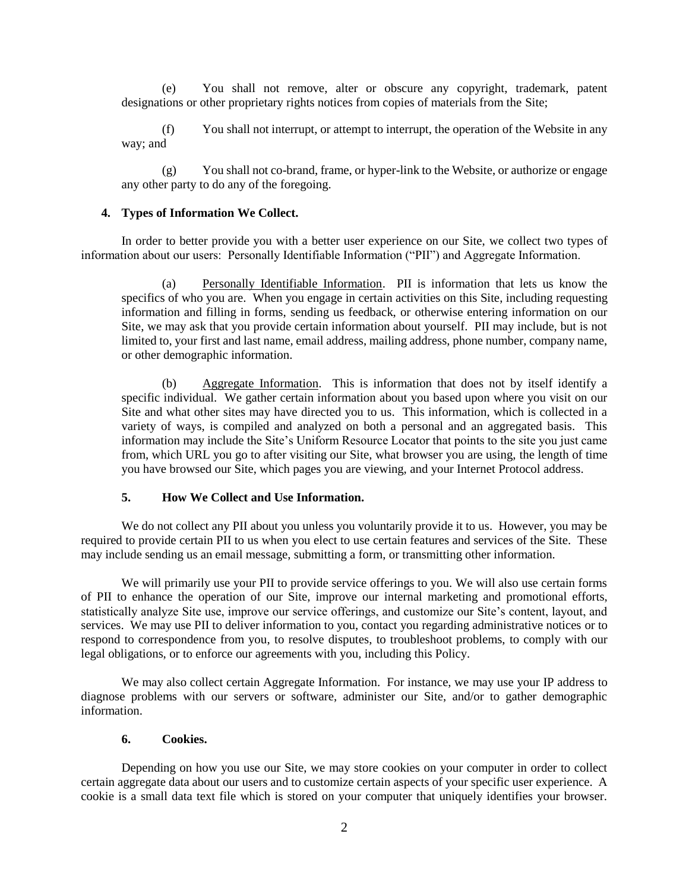(e) You shall not remove, alter or obscure any copyright, trademark, patent designations or other proprietary rights notices from copies of materials from the Site;

(f) You shall not interrupt, or attempt to interrupt, the operation of the Website in any way; and

(g) You shall not co-brand, frame, or hyper-link to the Website, or authorize or engage any other party to do any of the foregoing.

#### **4. Types of Information We Collect.**

In order to better provide you with a better user experience on our Site, we collect two types of information about our users: Personally Identifiable Information ("PII") and Aggregate Information.

(a) Personally Identifiable Information. PII is information that lets us know the specifics of who you are. When you engage in certain activities on this Site, including requesting information and filling in forms, sending us feedback, or otherwise entering information on our Site, we may ask that you provide certain information about yourself. PII may include, but is not limited to, your first and last name, email address, mailing address, phone number, company name, or other demographic information.

(b) Aggregate Information. This is information that does not by itself identify a specific individual. We gather certain information about you based upon where you visit on our Site and what other sites may have directed you to us. This information, which is collected in a variety of ways, is compiled and analyzed on both a personal and an aggregated basis. This information may include the Site's Uniform Resource Locator that points to the site you just came from, which URL you go to after visiting our Site, what browser you are using, the length of time you have browsed our Site, which pages you are viewing, and your Internet Protocol address.

#### **5. How We Collect and Use Information.**

We do not collect any PII about you unless you voluntarily provide it to us. However, you may be required to provide certain PII to us when you elect to use certain features and services of the Site. These may include sending us an email message, submitting a form, or transmitting other information.

We will primarily use your PII to provide service offerings to you. We will also use certain forms of PII to enhance the operation of our Site, improve our internal marketing and promotional efforts, statistically analyze Site use, improve our service offerings, and customize our Site's content, layout, and services. We may use PII to deliver information to you, contact you regarding administrative notices or to respond to correspondence from you, to resolve disputes, to troubleshoot problems, to comply with our legal obligations, or to enforce our agreements with you, including this Policy.

We may also collect certain Aggregate Information. For instance, we may use your IP address to diagnose problems with our servers or software, administer our Site, and/or to gather demographic information.

#### **6. Cookies.**

Depending on how you use our Site, we may store cookies on your computer in order to collect certain aggregate data about our users and to customize certain aspects of your specific user experience. A cookie is a small data text file which is stored on your computer that uniquely identifies your browser.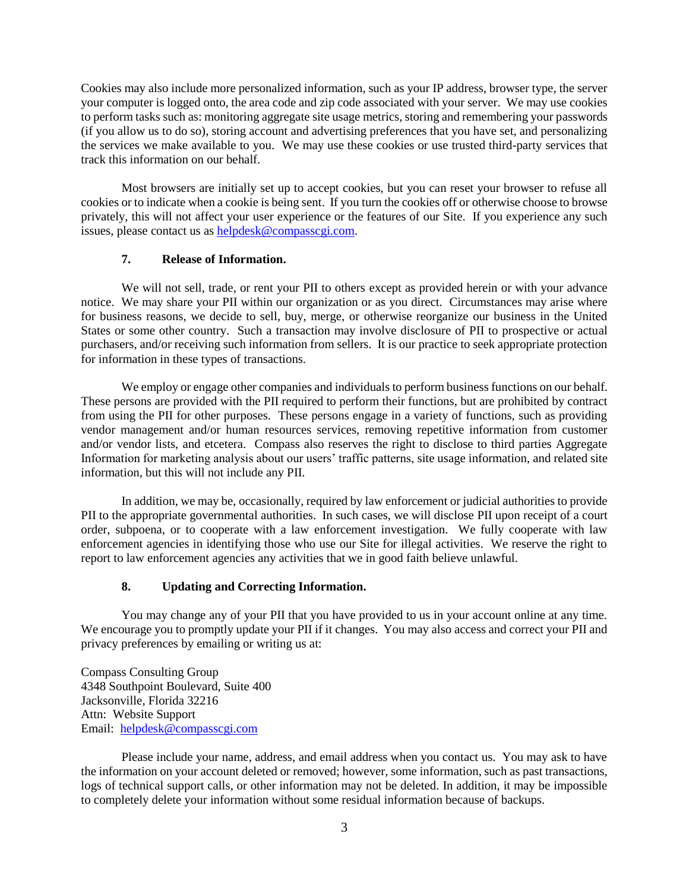Cookies may also include more personalized information, such as your IP address, browser type, the server your computer is logged onto, the area code and zip code associated with your server. We may use cookies to perform tasks such as: monitoring aggregate site usage metrics, storing and remembering your passwords (if you allow us to do so), storing account and advertising preferences that you have set, and personalizing the services we make available to you. We may use these cookies or use trusted third-party services that track this information on our behalf.

Most browsers are initially set up to accept cookies, but you can reset your browser to refuse all cookies or to indicate when a cookie is being sent. If you turn the cookies off or otherwise choose to browse privately, this will not affect your user experience or the features of our Site. If you experience any such issues, please contact us as helpdesk@compasscgi.com.

## **7. Release of Information.**

We will not sell, trade, or rent your PII to others except as provided herein or with your advance notice. We may share your PII within our organization or as you direct. Circumstances may arise where for business reasons, we decide to sell, buy, merge, or otherwise reorganize our business in the United States or some other country. Such a transaction may involve disclosure of PII to prospective or actual purchasers, and/or receiving such information from sellers. It is our practice to seek appropriate protection for information in these types of transactions.

We employ or engage other companies and individuals to perform business functions on our behalf. These persons are provided with the PII required to perform their functions, but are prohibited by contract from using the PII for other purposes. These persons engage in a variety of functions, such as providing vendor management and/or human resources services, removing repetitive information from customer and/or vendor lists, and etcetera. Compass also reserves the right to disclose to third parties Aggregate Information for marketing analysis about our users' traffic patterns, site usage information, and related site information, but this will not include any PII.

In addition, we may be, occasionally, required by law enforcement or judicial authorities to provide PII to the appropriate governmental authorities. In such cases, we will disclose PII upon receipt of a court order, subpoena, or to cooperate with a law enforcement investigation. We fully cooperate with law enforcement agencies in identifying those who use our Site for illegal activities. We reserve the right to report to law enforcement agencies any activities that we in good faith believe unlawful.

# **8. Updating and Correcting Information.**

<span id="page-2-0"></span>You may change any of your PII that you have provided to us in your account online at any time. We encourage you to promptly update your PII if it changes. You may also access and correct your PII and privacy preferences by emailing or writing us at:

Compass Consulting Group 4348 Southpoint Boulevard, Suite 400 Jacksonville, Florida 32216 Attn: Website Support Email: [helpdesk@compasscgi.com](mailto:helpdesk@compasscgi.com)

Please include your name, address, and email address when you contact us. You may ask to have the information on your account deleted or removed; however, some information, such as past transactions, logs of technical support calls, or other information may not be deleted. In addition, it may be impossible to completely delete your information without some residual information because of backups.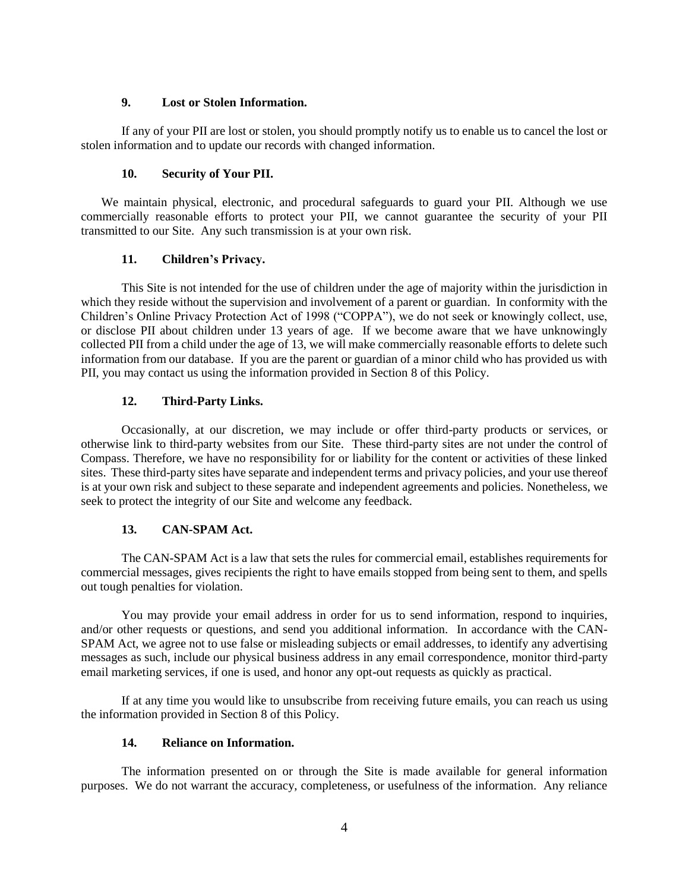## **9. Lost or Stolen Information.**

If any of your PII are lost or stolen, you should promptly notify us to enable us to cancel the lost or stolen information and to update our records with changed information.

## **10. Security of Your PII.**

We maintain physical, electronic, and procedural safeguards to guard your PII. Although we use commercially reasonable efforts to protect your PII, we cannot guarantee the security of your PII transmitted to our Site. Any such transmission is at your own risk.

## **11. Children's Privacy.**

This Site is not intended for the use of children under the age of majority within the jurisdiction in which they reside without the supervision and involvement of a parent or guardian. In conformity with the Children's Online Privacy Protection Act of 1998 ("COPPA"), we do not seek or knowingly collect, use, or disclose PII about children under 13 years of age. If we become aware that we have unknowingly collected PII from a child under the age of 13, we will make commercially reasonable efforts to delete such information from our database. If you are the parent or guardian of a minor child who has provided us with PII, you may contact us using the information provided in Section [8](#page-2-0) of this Policy.

## **12. Third-Party Links.**

Occasionally, at our discretion, we may include or offer third-party products or services, or otherwise link to third-party websites from our Site. These third-party sites are not under the control of Compass. Therefore, we have no responsibility for or liability for the content or activities of these linked sites. These third-party sites have separate and independent terms and privacy policies, and your use thereof is at your own risk and subject to these separate and independent agreements and policies. Nonetheless, we seek to protect the integrity of our Site and welcome any feedback.

## **13. CAN-SPAM Act.**

The CAN-SPAM Act is a law that sets the rules for commercial email, establishes requirements for commercial messages, gives recipients the right to have emails stopped from being sent to them, and spells out tough penalties for violation.

You may provide your email address in order for us to send information, respond to inquiries, and/or other requests or questions, and send you additional information. In accordance with the CAN-SPAM Act, we agree not to use false or misleading subjects or email addresses, to identify any advertising messages as such, include our physical business address in any email correspondence, monitor third-party email marketing services, if one is used, and honor any opt-out requests as quickly as practical.

If at any time you would like to unsubscribe from receiving future emails, you can reach us using the information provided in Section [8](#page-2-0) of this Policy.

## **14. Reliance on Information.**

The information presented on or through the Site is made available for general information purposes. We do not warrant the accuracy, completeness, or usefulness of the information. Any reliance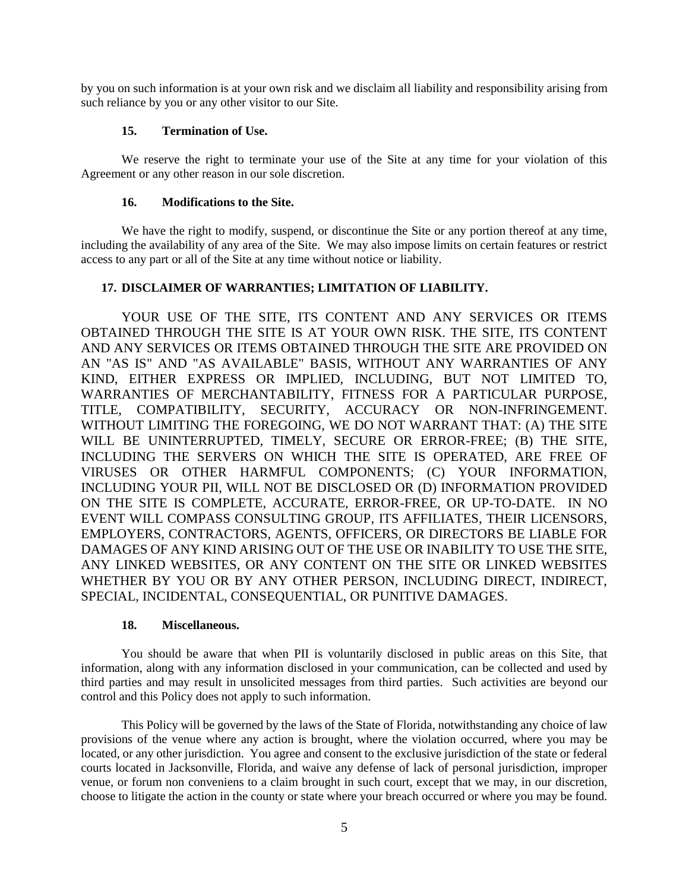by you on such information is at your own risk and we disclaim all liability and responsibility arising from such reliance by you or any other visitor to our Site.

## **15. Termination of Use.**

We reserve the right to terminate your use of the Site at any time for your violation of this Agreement or any other reason in our sole discretion.

#### **16. Modifications to the Site.**

We have the right to modify, suspend, or discontinue the Site or any portion thereof at any time, including the availability of any area of the Site. We may also impose limits on certain features or restrict access to any part or all of the Site at any time without notice or liability.

## **17. DISCLAIMER OF WARRANTIES; LIMITATION OF LIABILITY.**

YOUR USE OF THE SITE. ITS CONTENT AND ANY SERVICES OR ITEMS OBTAINED THROUGH THE SITE IS AT YOUR OWN RISK. THE SITE, ITS CONTENT AND ANY SERVICES OR ITEMS OBTAINED THROUGH THE SITE ARE PROVIDED ON AN "AS IS" AND "AS AVAILABLE" BASIS, WITHOUT ANY WARRANTIES OF ANY KIND, EITHER EXPRESS OR IMPLIED, INCLUDING, BUT NOT LIMITED TO, WARRANTIES OF MERCHANTABILITY, FITNESS FOR A PARTICULAR PURPOSE, TITLE, COMPATIBILITY, SECURITY, ACCURACY OR NON-INFRINGEMENT. WITHOUT LIMITING THE FOREGOING, WE DO NOT WARRANT THAT: (A) THE SITE WILL BE UNINTERRUPTED, TIMELY, SECURE OR ERROR-FREE; (B) THE SITE, INCLUDING THE SERVERS ON WHICH THE SITE IS OPERATED, ARE FREE OF VIRUSES OR OTHER HARMFUL COMPONENTS; (C) YOUR INFORMATION, INCLUDING YOUR PII, WILL NOT BE DISCLOSED OR (D) INFORMATION PROVIDED ON THE SITE IS COMPLETE, ACCURATE, ERROR-FREE, OR UP-TO-DATE. IN NO EVENT WILL COMPASS CONSULTING GROUP, ITS AFFILIATES, THEIR LICENSORS, EMPLOYERS, CONTRACTORS, AGENTS, OFFICERS, OR DIRECTORS BE LIABLE FOR DAMAGES OF ANY KIND ARISING OUT OF THE USE OR INABILITY TO USE THE SITE, ANY LINKED WEBSITES, OR ANY CONTENT ON THE SITE OR LINKED WEBSITES WHETHER BY YOU OR BY ANY OTHER PERSON, INCLUDING DIRECT, INDIRECT, SPECIAL, INCIDENTAL, CONSEQUENTIAL, OR PUNITIVE DAMAGES.

## **18. Miscellaneous.**

You should be aware that when PII is voluntarily disclosed in public areas on this Site, that information, along with any information disclosed in your communication, can be collected and used by third parties and may result in unsolicited messages from third parties. Such activities are beyond our control and this Policy does not apply to such information.

This Policy will be governed by the laws of the State of Florida, notwithstanding any choice of law provisions of the venue where any action is brought, where the violation occurred, where you may be located, or any other jurisdiction. You agree and consent to the exclusive jurisdiction of the state or federal courts located in Jacksonville, Florida, and waive any defense of lack of personal jurisdiction, improper venue, or forum non conveniens to a claim brought in such court, except that we may, in our discretion, choose to litigate the action in the county or state where your breach occurred or where you may be found.